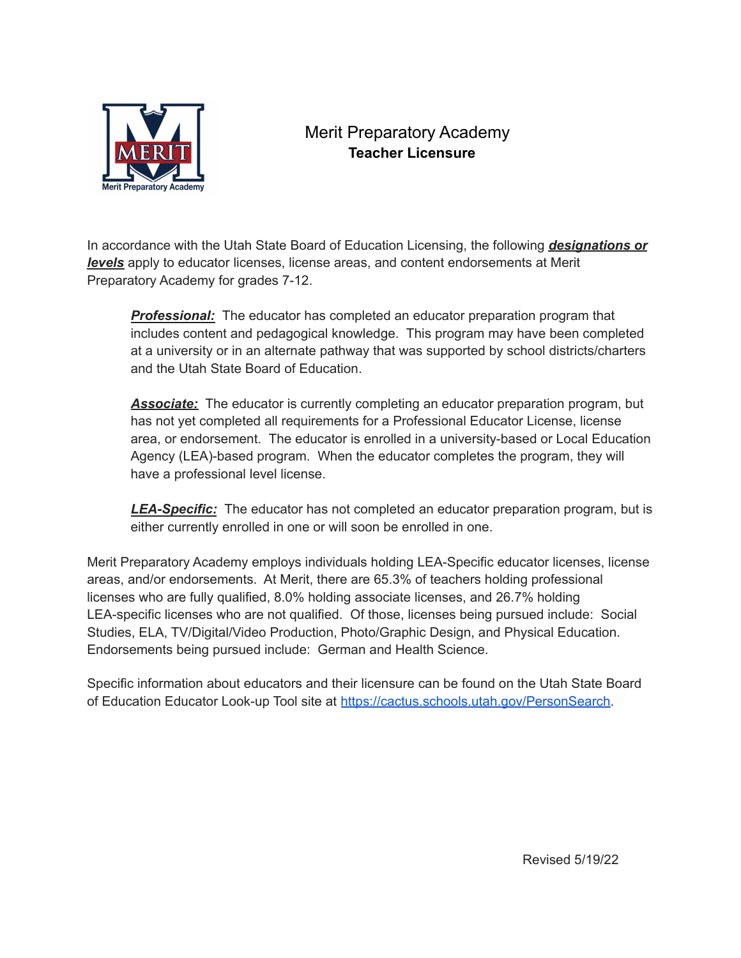

## Merit Preparatory Academy **Teacher Licensure**

In accordance with the Utah State Board of Education Licensing, the following *designations or levels* apply to educator licenses, license areas, and content endorsements at Merit Preparatory Academy for grades 7-12.

*Professional:* The educator has completed an educator preparation program that includes content and pedagogical knowledge. This program may have been completed at a university or in an alternate pathway that was supported by school districts/charters and the Utah State Board of Education.

*Associate:* The educator is currently completing an educator preparation program, but has not yet completed all requirements for a Professional Educator License, license area, or endorsement. The educator is enrolled in a university-based or Local Education Agency (LEA)-based program. When the educator completes the program, they will have a professional level license.

*LEA-Specific:* The educator has not completed an educator preparation program, but is either currently enrolled in one or will soon be enrolled in one.

Merit Preparatory Academy employs individuals holding LEA-Specific educator licenses, license areas, and/or endorsements. At Merit, there are 65.3% of teachers holding professional licenses who are fully qualified, 8.0% holding associate licenses, and 26.7% holding LEA-specific licenses who are not qualified. Of those, licenses being pursued include: Social Studies, ELA, TV/Digital/Video Production, Photo/Graphic Design, and Physical Education. Endorsements being pursued include: German and Health Science.

Specific information about educators and their licensure can be found on the Utah State Board of Education Educator Look-up Tool site at [https://cactus.schools.utah.gov/PersonSearch.](https://cactus.schools.utah.gov/PersonSearch)